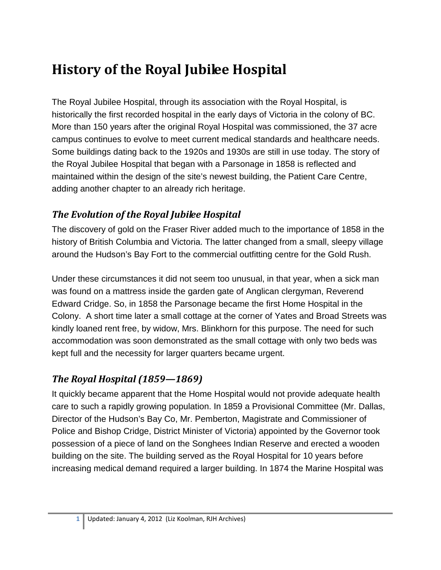# **History of the Royal Jubilee Hospital**

The Royal Jubilee Hospital, through its association with the Royal Hospital, is historically the first recorded hospital in the early days of Victoria in the colony of BC. More than 150 years after the original Royal Hospital was commissioned, the 37 acre campus continues to evolve to meet current medical standards and healthcare needs. Some buildings dating back to the 1920s and 1930s are still in use today. The story of the Royal Jubilee Hospital that began with a Parsonage in 1858 is reflected and maintained within the design of the site's newest building, the Patient Care Centre, adding another chapter to an already rich heritage.

## *The Evolution of the Royal Jubilee Hospital*

The discovery of gold on the Fraser River added much to the importance of 1858 in the history of British Columbia and Victoria. The latter changed from a small, sleepy village around the Hudson's Bay Fort to the commercial outfitting centre for the Gold Rush.

Under these circumstances it did not seem too unusual, in that year, when a sick man was found on a mattress inside the garden gate of Anglican clergyman, Reverend Edward Cridge. So, in 1858 the Parsonage became the first Home Hospital in the Colony. A short time later a small cottage at the corner of Yates and Broad Streets was kindly loaned rent free, by widow, Mrs. Blinkhorn for this purpose. The need for such accommodation was soon demonstrated as the small cottage with only two beds was kept full and the necessity for larger quarters became urgent.

# *The Royal Hospital (1859—1869)*

It quickly became apparent that the Home Hospital would not provide adequate health care to such a rapidly growing population. In 1859 a Provisional Committee (Mr. Dallas, Director of the Hudson's Bay Co, Mr. Pemberton, Magistrate and Commissioner of Police and Bishop Cridge, District Minister of Victoria) appointed by the Governor took possession of a piece of land on the Songhees Indian Reserve and erected a wooden building on the site. The building served as the Royal Hospital for 10 years before increasing medical demand required a larger building. In 1874 the Marine Hospital was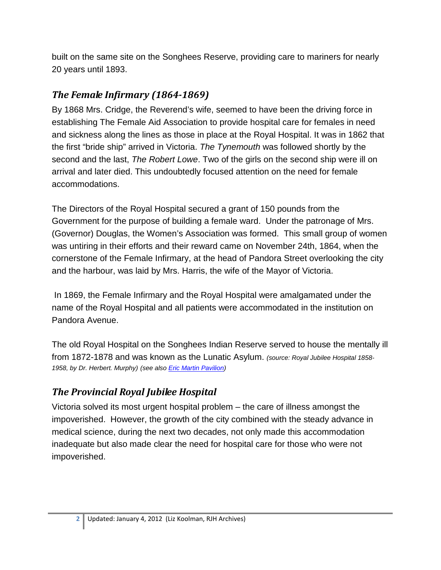built on the same site on the Songhees Reserve, providing care to mariners for nearly 20 years until 1893.

#### *The Female Infirmary (1864-1869)*

By 1868 Mrs. Cridge, the Reverend's wife, seemed to have been the driving force in establishing The Female Aid Association to provide hospital care for females in need and sickness along the lines as those in place at the Royal Hospital. It was in 1862 that the first "bride ship" arrived in Victoria. *The Tynemouth* was followed shortly by the second and the last, *The Robert Lowe*. Two of the girls on the second ship were ill on arrival and later died. This undoubtedly focused attention on the need for female accommodations.

The Directors of the Royal Hospital secured a grant of 150 pounds from the Government for the purpose of building a female ward. Under the patronage of Mrs. (Governor) Douglas, the Women's Association was formed. This small group of women was untiring in their efforts and their reward came on November 24th, 1864, when the cornerstone of the Female Infirmary, at the head of Pandora Street overlooking the city and the harbour, was laid by Mrs. Harris, the wife of the Mayor of Victoria.

In 1869, the Female Infirmary and the Royal Hospital were amalgamated under the name of the Royal Hospital and all patients were accommodated in the institution on Pandora Avenue.

The old Royal Hospital on the Songhees Indian Reserve served to house the mentally ill from 1872-1878 and was known as the Lunatic Asylum. *(source: Royal Jubilee Hospital 1858- 1958, by Dr. Herbert. Murphy) (see also [Eric Martin Pavilion\)](#page-10-0)*

#### *The Provincial Royal Jubilee Hospital*

Victoria solved its most urgent hospital problem – the care of illness amongst the impoverished. However, the growth of the city combined with the steady advance in medical science, during the next two decades, not only made this accommodation inadequate but also made clear the need for hospital care for those who were not impoverished.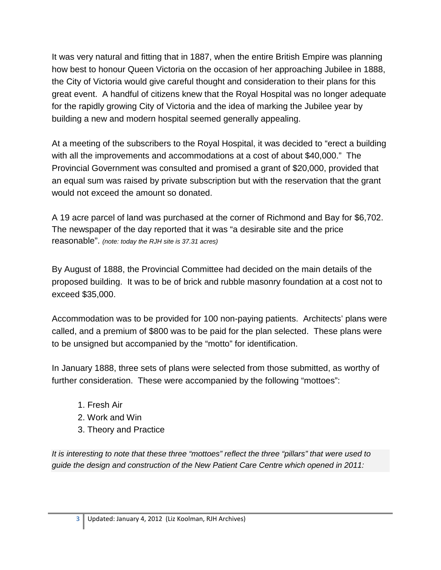It was very natural and fitting that in 1887, when the entire British Empire was planning how best to honour Queen Victoria on the occasion of her approaching Jubilee in 1888, the City of Victoria would give careful thought and consideration to their plans for this great event. A handful of citizens knew that the Royal Hospital was no longer adequate for the rapidly growing City of Victoria and the idea of marking the Jubilee year by building a new and modern hospital seemed generally appealing.

At a meeting of the subscribers to the Royal Hospital, it was decided to "erect a building with all the improvements and accommodations at a cost of about \$40,000." The Provincial Government was consulted and promised a grant of \$20,000, provided that an equal sum was raised by private subscription but with the reservation that the grant would not exceed the amount so donated.

A 19 acre parcel of land was purchased at the corner of Richmond and Bay for \$6,702. The newspaper of the day reported that it was "a desirable site and the price reasonable". *(note: today the RJH site is 37.31 acres)* 

By August of 1888, the Provincial Committee had decided on the main details of the proposed building. It was to be of brick and rubble masonry foundation at a cost not to exceed \$35,000.

Accommodation was to be provided for 100 non-paying patients. Architects' plans were called, and a premium of \$800 was to be paid for the plan selected. These plans were to be unsigned but accompanied by the "motto" for identification.

In January 1888, three sets of plans were selected from those submitted, as worthy of further consideration. These were accompanied by the following "mottoes":

- 1. Fresh Air
- 2. Work and Win
- 3. Theory and Practice

*It is interesting to note that these three "mottoes" reflect the three "pillars" that were used to guide the design and construction of the New Patient Care Centre which opened in 2011:*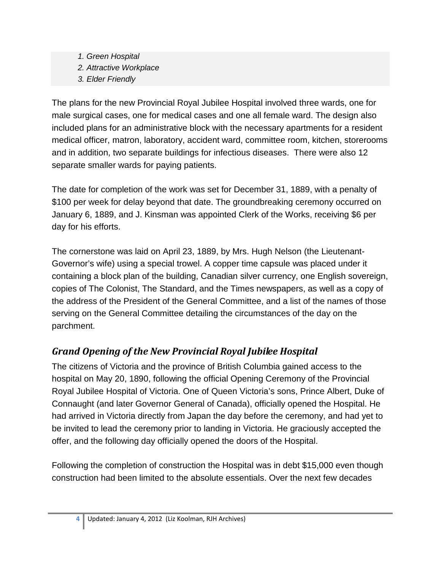- *1. Green Hospital*
- *2. Attractive Workplace*
- *3. Elder Friendly*

The plans for the new Provincial Royal Jubilee Hospital involved three wards, one for male surgical cases, one for medical cases and one all female ward. The design also included plans for an administrative block with the necessary apartments for a resident medical officer, matron, laboratory, accident ward, committee room, kitchen, storerooms and in addition, two separate buildings for infectious diseases. There were also 12 separate smaller wards for paying patients.

The date for completion of the work was set for December 31, 1889, with a penalty of \$100 per week for delay beyond that date. The groundbreaking ceremony occurred on January 6, 1889, and J. Kinsman was appointed Clerk of the Works, receiving \$6 per day for his efforts.

The cornerstone was laid on April 23, 1889, by Mrs. Hugh Nelson (the Lieutenant-Governor's wife) using a special trowel. A copper time capsule was placed under it containing a block plan of the building, Canadian silver currency, one English sovereign, copies of The Colonist, The Standard, and the Times newspapers, as well as a copy of the address of the President of the General Committee, and a list of the names of those serving on the General Committee detailing the circumstances of the day on the parchment.

# *Grand Opening of the New Provincial Royal Jubilee Hospital*

The citizens of Victoria and the province of British Columbia gained access to the hospital on May 20, 1890, following the official Opening Ceremony of the Provincial Royal Jubilee Hospital of Victoria. One of Queen Victoria's sons, Prince Albert, Duke of Connaught (and later Governor General of Canada), officially opened the Hospital. He had arrived in Victoria directly from Japan the day before the ceremony, and had yet to be invited to lead the ceremony prior to landing in Victoria. He graciously accepted the offer, and the following day officially opened the doors of the Hospital.

Following the completion of construction the Hospital was in debt \$15,000 even though construction had been limited to the absolute essentials. Over the next few decades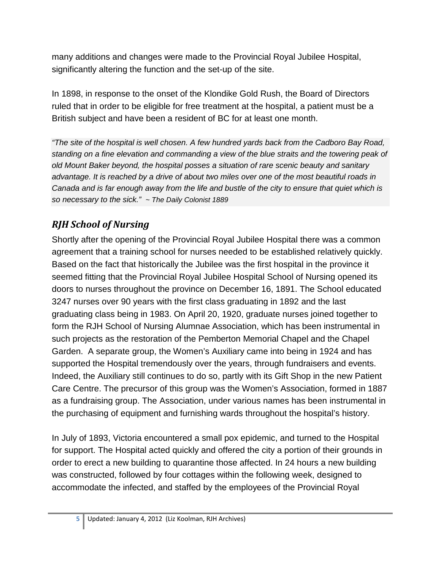many additions and changes were made to the Provincial Royal Jubilee Hospital, significantly altering the function and the set-up of the site.

In 1898, in response to the onset of the Klondike Gold Rush, the Board of Directors ruled that in order to be eligible for free treatment at the hospital, a patient must be a British subject and have been a resident of BC for at least one month.

*"The site of the hospital is well chosen. A few hundred yards back from the Cadboro Bay Road, standing on a fine elevation and commanding a view of the blue straits and the towering peak of old Mount Baker beyond, the hospital posses a situation of rare scenic beauty and sanitary advantage. It is reached by a drive of about two miles over one of the most beautiful roads in Canada and is far enough away from the life and bustle of the city to ensure that quiet which is so necessary to the sick." ~ The Daily Colonist 1889*

## *RJH School of Nursing*

Shortly after the opening of the Provincial Royal Jubilee Hospital there was a common agreement that a training school for nurses needed to be established relatively quickly. Based on the fact that historically the Jubilee was the first hospital in the province it seemed fitting that the Provincial Royal Jubilee Hospital School of Nursing opened its doors to nurses throughout the province on December 16, 1891. The School educated 3247 nurses over 90 years with the first class graduating in 1892 and the last graduating class being in 1983. On April 20, 1920, graduate nurses joined together to form the RJH School of Nursing Alumnae Association, which has been instrumental in such projects as the restoration of the Pemberton Memorial Chapel and the Chapel Garden. A separate group, the Women's Auxiliary came into being in 1924 and has supported the Hospital tremendously over the years, through fundraisers and events. Indeed, the Auxiliary still continues to do so, partly with its Gift Shop in the new Patient Care Centre. The precursor of this group was the Women's Association, formed in 1887 as a fundraising group. The Association, under various names has been instrumental in the purchasing of equipment and furnishing wards throughout the hospital's history.

In July of 1893, Victoria encountered a small pox epidemic, and turned to the Hospital for support. The Hospital acted quickly and offered the city a portion of their grounds in order to erect a new building to quarantine those affected. In 24 hours a new building was constructed, followed by four cottages within the following week, designed to accommodate the infected, and staffed by the employees of the Provincial Royal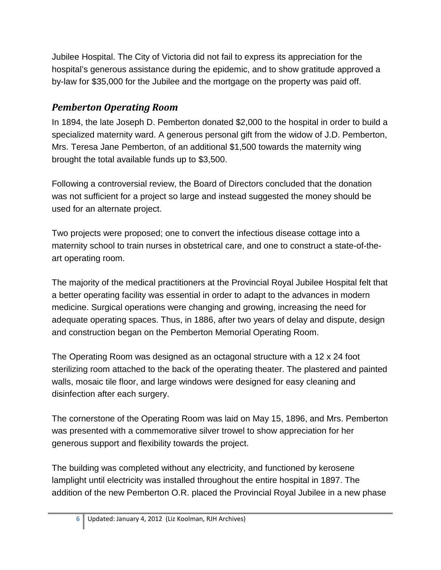Jubilee Hospital. The City of Victoria did not fail to express its appreciation for the hospital's generous assistance during the epidemic, and to show gratitude approved a by-law for \$35,000 for the Jubilee and the mortgage on the property was paid off.

### *Pemberton Operating Room*

In 1894, the late Joseph D. Pemberton donated \$2,000 to the hospital in order to build a specialized maternity ward. A generous personal gift from the widow of J.D. Pemberton, Mrs. Teresa Jane Pemberton, of an additional \$1,500 towards the maternity wing brought the total available funds up to \$3,500.

Following a controversial review, the Board of Directors concluded that the donation was not sufficient for a project so large and instead suggested the money should be used for an alternate project.

Two projects were proposed; one to convert the infectious disease cottage into a maternity school to train nurses in obstetrical care, and one to construct a state-of-theart operating room.

The majority of the medical practitioners at the Provincial Royal Jubilee Hospital felt that a better operating facility was essential in order to adapt to the advances in modern medicine. Surgical operations were changing and growing, increasing the need for adequate operating spaces. Thus, in 1886, after two years of delay and dispute, design and construction began on the Pemberton Memorial Operating Room.

The Operating Room was designed as an octagonal structure with a 12 x 24 foot sterilizing room attached to the back of the operating theater. The plastered and painted walls, mosaic tile floor, and large windows were designed for easy cleaning and disinfection after each surgery.

The cornerstone of the Operating Room was laid on May 15, 1896, and Mrs. Pemberton was presented with a commemorative silver trowel to show appreciation for her generous support and flexibility towards the project.

The building was completed without any electricity, and functioned by kerosene lamplight until electricity was installed throughout the entire hospital in 1897. The addition of the new Pemberton O.R. placed the Provincial Royal Jubilee in a new phase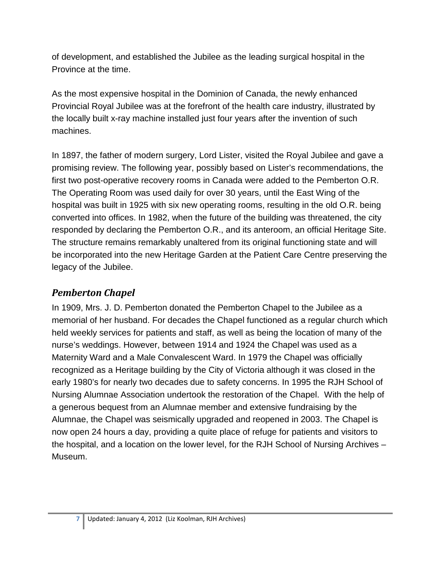of development, and established the Jubilee as the leading surgical hospital in the Province at the time.

As the most expensive hospital in the Dominion of Canada, the newly enhanced Provincial Royal Jubilee was at the forefront of the health care industry, illustrated by the locally built x-ray machine installed just four years after the invention of such machines.

In 1897, the father of modern surgery, Lord Lister, visited the Royal Jubilee and gave a promising review. The following year, possibly based on Lister's recommendations, the first two post-operative recovery rooms in Canada were added to the Pemberton O.R. The Operating Room was used daily for over 30 years, until the East Wing of the hospital was built in 1925 with six new operating rooms, resulting in the old O.R. being converted into offices. In 1982, when the future of the building was threatened, the city responded by declaring the Pemberton O.R., and its anteroom, an official Heritage Site. The structure remains remarkably unaltered from its original functioning state and will be incorporated into the new Heritage Garden at the Patient Care Centre preserving the legacy of the Jubilee.

#### *Pemberton Chapel*

In 1909, Mrs. J. D. Pemberton donated the Pemberton Chapel to the Jubilee as a memorial of her husband. For decades the Chapel functioned as a regular church which held weekly services for patients and staff, as well as being the location of many of the nurse's weddings. However, between 1914 and 1924 the Chapel was used as a Maternity Ward and a Male Convalescent Ward. In 1979 the Chapel was officially recognized as a Heritage building by the City of Victoria although it was closed in the early 1980's for nearly two decades due to safety concerns. In 1995 the RJH School of Nursing Alumnae Association undertook the restoration of the Chapel. With the help of a generous bequest from an Alumnae member and extensive fundraising by the Alumnae, the Chapel was seismically upgraded and reopened in 2003. The Chapel is now open 24 hours a day, providing a quite place of refuge for patients and visitors to the hospital, and a location on the lower level, for the RJH School of Nursing Archives – Museum.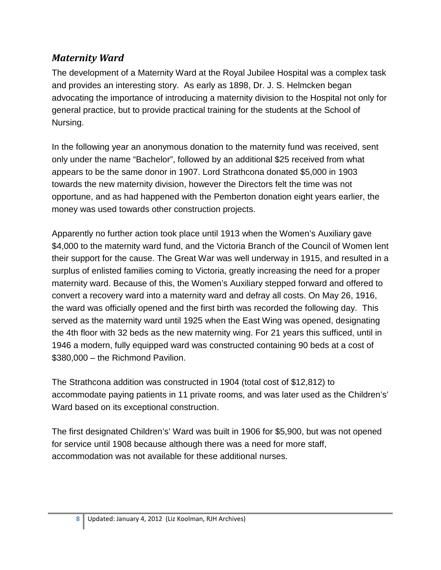#### <span id="page-7-0"></span>*Maternity Ward*

The development of a Maternity Ward at the Royal Jubilee Hospital was a complex task and provides an interesting story. As early as 1898, Dr. J. S. Helmcken began advocating the importance of introducing a maternity division to the Hospital not only for general practice, but to provide practical training for the students at the School of Nursing.

In the following year an anonymous donation to the maternity fund was received, sent only under the name "Bachelor", followed by an additional \$25 received from what appears to be the same donor in 1907. Lord Strathcona donated \$5,000 in 1903 towards the new maternity division, however the Directors felt the time was not opportune, and as had happened with the Pemberton donation eight years earlier, the money was used towards other construction projects.

Apparently no further action took place until 1913 when the Women's Auxiliary gave \$4,000 to the maternity ward fund, and the Victoria Branch of the Council of Women lent their support for the cause. The Great War was well underway in 1915, and resulted in a surplus of enlisted families coming to Victoria, greatly increasing the need for a proper maternity ward. Because of this, the Women's Auxiliary stepped forward and offered to convert a recovery ward into a maternity ward and defray all costs. On May 26, 1916, the ward was officially opened and the first birth was recorded the following day. This served as the maternity ward until 1925 when the East Wing was opened, designating the 4th floor with 32 beds as the new maternity wing. For 21 years this sufficed, until in 1946 a modern, fully equipped ward was constructed containing 90 beds at a cost of \$380,000 – the Richmond Pavilion.

The Strathcona addition was constructed in 1904 (total cost of \$12,812) to accommodate paying patients in 11 private rooms, and was later used as the Children's' Ward based on its exceptional construction.

The first designated Children's' Ward was built in 1906 for \$5,900, but was not opened for service until 1908 because although there was a need for more staff, accommodation was not available for these additional nurses.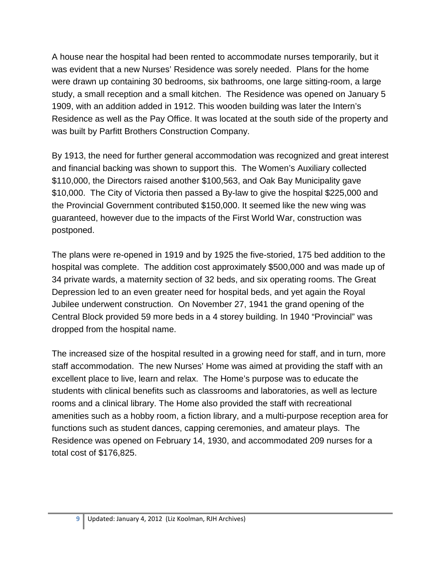A house near the hospital had been rented to accommodate nurses temporarily, but it was evident that a new Nurses' Residence was sorely needed. Plans for the home were drawn up containing 30 bedrooms, six bathrooms, one large sitting-room, a large study, a small reception and a small kitchen. The Residence was opened on January 5 1909, with an addition added in 1912. This wooden building was later the Intern's Residence as well as the Pay Office. It was located at the south side of the property and was built by Parfitt Brothers Construction Company.

By 1913, the need for further general accommodation was recognized and great interest and financial backing was shown to support this. The Women's Auxiliary collected \$110,000, the Directors raised another \$100,563, and Oak Bay Municipality gave \$10,000. The City of Victoria then passed a By-law to give the hospital \$225,000 and the Provincial Government contributed \$150,000. It seemed like the new wing was guaranteed, however due to the impacts of the First World War, construction was postponed.

The plans were re-opened in 1919 and by 1925 the five-storied, 175 bed addition to the hospital was complete. The addition cost approximately \$500,000 and was made up of 34 private wards, a maternity section of 32 beds, and six operating rooms. The Great Depression led to an even greater need for hospital beds, and yet again the Royal Jubilee underwent construction. On November 27, 1941 the grand opening of the Central Block provided 59 more beds in a 4 storey building. In 1940 "Provincial" was dropped from the hospital name.

The increased size of the hospital resulted in a growing need for staff, and in turn, more staff accommodation. The new Nurses' Home was aimed at providing the staff with an excellent place to live, learn and relax. The Home's purpose was to educate the students with clinical benefits such as classrooms and laboratories, as well as lecture rooms and a clinical library. The Home also provided the staff with recreational amenities such as a hobby room, a fiction library, and a multi-purpose reception area for functions such as student dances, capping ceremonies, and amateur plays. The Residence was opened on February 14, 1930, and accommodated 209 nurses for a total cost of \$176,825.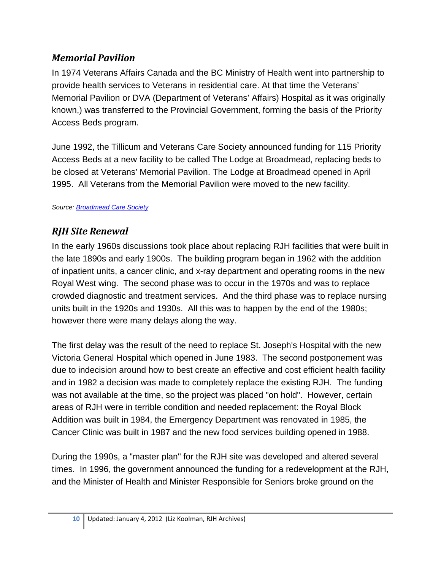#### *Memorial Pavilion*

In 1974 Veterans Affairs Canada and the BC Ministry of Health went into partnership to provide health services to Veterans in residential care. At that time the Veterans' Memorial Pavilion or DVA (Department of Veterans' Affairs) Hospital as it was originally known,) was transferred to the Provincial Government, forming the basis of the Priority Access Beds program.

June 1992, the Tillicum and Veterans Care Society announced funding for 115 Priority Access Beds at a new facility to be called The Lodge at Broadmead, replacing beds to be closed at Veterans' Memorial Pavilion. The Lodge at Broadmead opened in April 1995. All Veterans from the Memorial Pavilion were moved to the new facility.

*Source[: Broadmead Care Society](http://www.broadmeadcare.com/web/history)*

## *RJH Site Renewal*

In the early 1960s discussions took place about replacing RJH facilities that were built in the late 1890s and early 1900s. The building program began in 1962 with the addition of inpatient units, a cancer clinic, and x-ray department and operating rooms in the new Royal West wing. The second phase was to occur in the 1970s and was to replace crowded diagnostic and treatment services. And the third phase was to replace nursing units built in the 1920s and 1930s. All this was to happen by the end of the 1980s; however there were many delays along the way.

The first delay was the result of the need to replace St. Joseph's Hospital with the new Victoria General Hospital which opened in June 1983. The second postponement was due to indecision around how to best create an effective and cost efficient health facility and in 1982 a decision was made to completely replace the existing RJH. The funding was not available at the time, so the project was placed "on hold". However, certain areas of RJH were in terrible condition and needed replacement: the Royal Block Addition was built in 1984, the Emergency Department was renovated in 1985, the Cancer Clinic was built in 1987 and the new food services building opened in 1988.

During the 1990s, a "master plan" for the RJH site was developed and altered several times. In 1996, the government announced the funding for a redevelopment at the RJH, and the Minister of Health and Minister Responsible for Seniors broke ground on the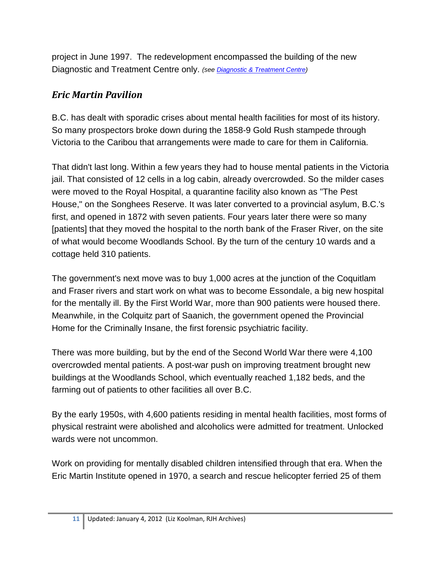project in June 1997. The redevelopment encompassed the building of the new Diagnostic and Treatment Centre only. *(see [Diagnostic & Treatment Centre\)](#page-11-0)* 

#### <span id="page-10-0"></span>*Eric Martin Pavilion*

B.C. has dealt with sporadic crises about mental health facilities for most of its history. So many prospectors broke down during the 1858-9 Gold Rush stampede through Victoria to the Caribou that arrangements were made to care for them in California.

That didn't last long. Within a few years they had to house mental patients in the Victoria jail. That consisted of 12 cells in a log cabin, already overcrowded. So the milder cases were moved to the Royal Hospital, a quarantine facility also known as "The Pest House," on the Songhees Reserve. It was later converted to a provincial asylum, B.C.'s first, and opened in 1872 with seven patients. Four years later there were so many [patients] that they moved the hospital to the north bank of the Fraser River, on the site of what would become Woodlands School. By the turn of the century 10 wards and a cottage held 310 patients.

The government's next move was to buy 1,000 acres at the junction of the Coquitlam and Fraser rivers and start work on what was to become Essondale, a big new hospital for the mentally ill. By the First World War, more than 900 patients were housed there. Meanwhile, in the Colquitz part of Saanich, the government opened the Provincial Home for the Criminally Insane, the first forensic psychiatric facility.

There was more building, but by the end of the Second World War there were 4,100 overcrowded mental patients. A post-war push on improving treatment brought new buildings at the Woodlands School, which eventually reached 1,182 beds, and the farming out of patients to other facilities all over B.C.

By the early 1950s, with 4,600 patients residing in mental health facilities, most forms of physical restraint were abolished and alcoholics were admitted for treatment. Unlocked wards were not uncommon.

Work on providing for mentally disabled children intensified through that era. When the Eric Martin Institute opened in 1970, a search and rescue helicopter ferried 25 of them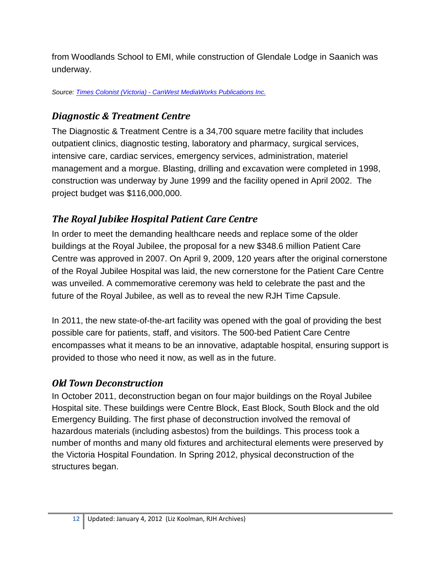from Woodlands School to EMI, while construction of Glendale Lodge in Saanich was underway.

*Source: Times Colonist (Victoria) - [CanWest MediaWorks Publications Inc.](http://www.canada.com/victoriatimescolonist/news/story.html?id=ddedcd93-6113-41d8-a3a5-d484321c19f3)*

#### <span id="page-11-0"></span>*Diagnostic & Treatment Centre*

The Diagnostic & Treatment Centre is a 34,700 square metre facility that includes outpatient clinics, diagnostic testing, laboratory and pharmacy, surgical services, intensive care, cardiac services, emergency services, administration, materiel management and a morgue. Blasting, drilling and excavation were completed in 1998, construction was underway by June 1999 and the facility opened in April 2002. The project budget was \$116,000,000.

# *The Royal Jubilee Hospital Patient Care Centre*

In order to meet the demanding healthcare needs and replace some of the older buildings at the Royal Jubilee, the proposal for a new \$348.6 million Patient Care Centre was approved in 2007. On April 9, 2009, 120 years after the original cornerstone of the Royal Jubilee Hospital was laid, the new cornerstone for the Patient Care Centre was unveiled. A commemorative ceremony was held to celebrate the past and the future of the Royal Jubilee, as well as to reveal the new RJH Time Capsule.

In 2011, the new state-of-the-art facility was opened with the goal of providing the best possible care for patients, staff, and visitors. The 500-bed Patient Care Centre encompasses what it means to be an innovative, adaptable hospital, ensuring support is provided to those who need it now, as well as in the future.

#### *Old Town Deconstruction*

In October 2011, deconstruction began on four major buildings on the Royal Jubilee Hospital site. These buildings were Centre Block, East Block, South Block and the old Emergency Building. The first phase of deconstruction involved the removal of hazardous materials (including asbestos) from the buildings. This process took a number of months and many old fixtures and architectural elements were preserved by the Victoria Hospital Foundation. In Spring 2012, physical deconstruction of the structures began.